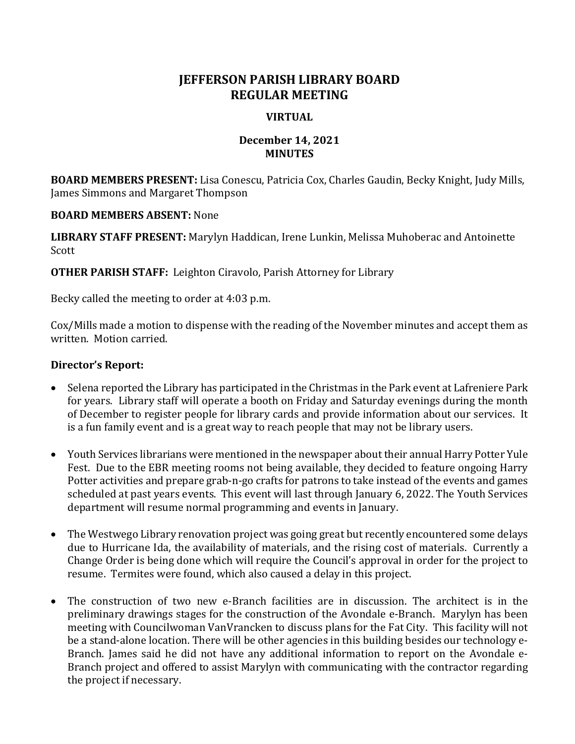# **JEFFERSON PARISH LIBRARY BOARD REGULAR MEETING**

### **VIRTUAL**

## **December 14, 2021 MINUTES**

**BOARD MEMBERS PRESENT:** Lisa Conescu, Patricia Cox, Charles Gaudin, Becky Knight, Judy Mills, James Simmons and Margaret Thompson

### **BOARD MEMBERS ABSENT:** None

**LIBRARY STAFF PRESENT:** Marylyn Haddican, Irene Lunkin, Melissa Muhoberac and Antoinette Scott

**OTHER PARISH STAFF:** Leighton Ciravolo, Parish Attorney for Library

Becky called the meeting to order at 4:03 p.m.

Cox/Mills made a motion to dispense with the reading of the November minutes and accept them as written. Motion carried.

## **Director's Report:**

- Selena reported the Library has participated in the Christmas in the Park event at Lafreniere Park for years. Library staff will operate a booth on Friday and Saturday evenings during the month of December to register people for library cards and provide information about our services. It is a fun family event and is a great way to reach people that may not be library users.
- Youth Services librarians were mentioned in the newspaper about their annual Harry Potter Yule Fest. Due to the EBR meeting rooms not being available, they decided to feature ongoing Harry Potter activities and prepare grab-n-go crafts for patrons to take instead of the events and games scheduled at past years events. This event will last through January 6, 2022. The Youth Services department will resume normal programming and events in January.
- The Westwego Library renovation project was going great but recently encountered some delays due to Hurricane Ida, the availability of materials, and the rising cost of materials. Currently a Change Order is being done which will require the Council's approval in order for the project to resume. Termites were found, which also caused a delay in this project.
- The construction of two new e-Branch facilities are in discussion. The architect is in the preliminary drawings stages for the construction of the Avondale e-Branch. Marylyn has been meeting with Councilwoman VanVrancken to discuss plans for the Fat City. This facility will not be a stand-alone location. There will be other agencies in this building besides our technology e-Branch. James said he did not have any additional information to report on the Avondale e-Branch project and offered to assist Marylyn with communicating with the contractor regarding the project if necessary.